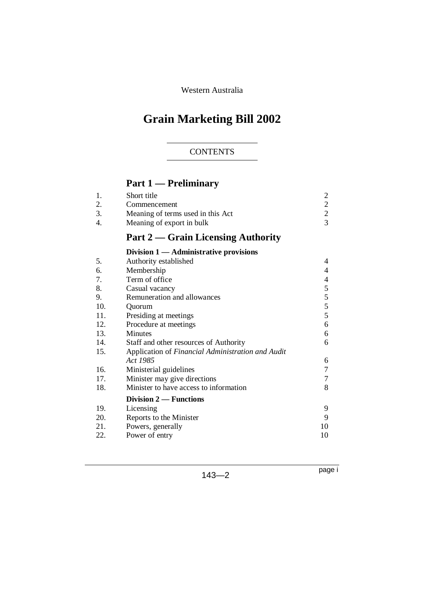Western Australia

# **Grain Marketing Bill 2002**

# **CONTENTS**

# **Part 1 — Preliminary**

| 1.  | Short title                                       | $\overline{\mathbf{c}}$ |
|-----|---------------------------------------------------|-------------------------|
| 2.  | Commencement                                      | $\overline{2}$          |
| 3.  | Meaning of terms used in this Act                 | $\frac{2}{3}$           |
| 4.  | Meaning of export in bulk                         |                         |
|     | <b>Part 2 — Grain Licensing Authority</b>         |                         |
|     | Division $1 -$ Administrative provisions          |                         |
| 5.  | Authority established                             | 4                       |
| 6.  | Membership                                        | 4                       |
| 7.  | Term of office                                    | 4                       |
| 8.  | Casual vacancy                                    | 5                       |
| 9.  | Remuneration and allowances                       | 5                       |
| 10. | Quorum                                            | 5                       |
| 11. | Presiding at meetings                             | 5                       |
| 12. | Procedure at meetings                             | 6                       |
| 13. | <b>Minutes</b>                                    | 6                       |
| 14. | Staff and other resources of Authority            | 6                       |
| 15. | Application of Financial Administration and Audit |                         |
|     | Act 1985                                          | 6                       |
| 16. | Ministerial guidelines                            | 7                       |
| 17. | Minister may give directions                      | 7                       |
| 18. | Minister to have access to information            | 8                       |
|     | Division $2$ — Functions                          |                         |
| 19. | Licensing                                         | 9                       |
| 20. | Reports to the Minister                           | 9                       |
| 21. | Powers, generally                                 | 10                      |
| 22. | Power of entry                                    | 10                      |

143—2

page i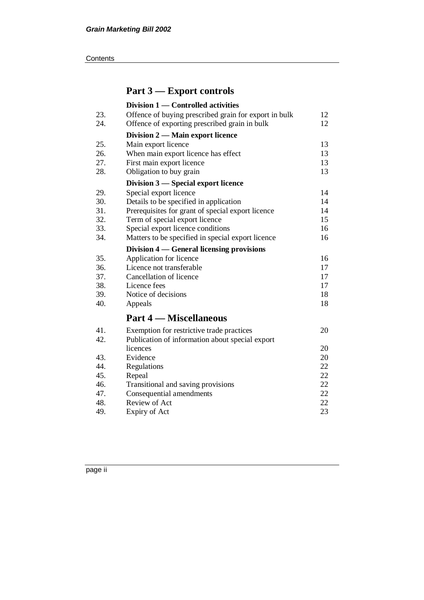#### **Contents**

# **Part 3 — Export controls**

|     | Division 1 — Controlled activities                    |    |
|-----|-------------------------------------------------------|----|
| 23. | Offence of buying prescribed grain for export in bulk | 12 |
| 24. | Offence of exporting prescribed grain in bulk         | 12 |
|     | Division 2 — Main export licence                      |    |
| 25. | Main export licence                                   | 13 |
| 26. | When main export licence has effect                   | 13 |
| 27. | First main export licence                             | 13 |
| 28. | Obligation to buy grain                               | 13 |
|     | Division 3 – Special export licence                   |    |
| 29. | Special export licence                                | 14 |
| 30. | Details to be specified in application                | 14 |
| 31. | Prerequisites for grant of special export licence     | 14 |
| 32. | Term of special export licence                        | 15 |
| 33. | Special export licence conditions                     | 16 |
| 34. | Matters to be specified in special export licence     | 16 |
|     | Division 4 — General licensing provisions             |    |
| 35. | Application for licence                               | 16 |
| 36. | Licence not transferable                              | 17 |
| 37. | Cancellation of licence                               | 17 |
| 38. | Licence fees                                          | 17 |
| 39. | Notice of decisions                                   | 18 |
| 40. | Appeals                                               | 18 |
|     | <b>Part 4 – Miscellaneous</b>                         |    |
| 41. | Exemption for restrictive trade practices             | 20 |
| 42. | Publication of information about special export       |    |
|     | licences                                              | 20 |
| 43. | Evidence                                              | 20 |
| 44. | Regulations                                           | 22 |
| 45. | Repeal                                                | 22 |
| 46. | Transitional and saving provisions                    | 22 |
| 47. | Consequential amendments                              | 22 |
| 48. | Review of Act                                         | 22 |
| 49. | Expiry of Act                                         | 23 |

page ii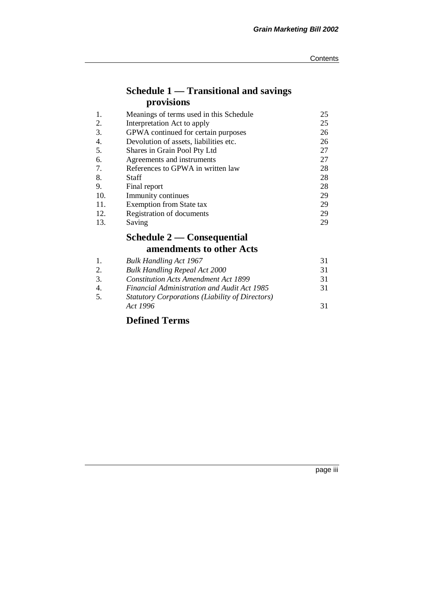# **Schedule 1 — Transitional and savings provisions**

| 1.  | Meanings of terms used in this Schedule | 25 |
|-----|-----------------------------------------|----|
| 2.  | Interpretation Act to apply             | 25 |
| 3.  | GPWA continued for certain purposes     | 26 |
| 4.  | Devolution of assets, liabilities etc.  | 26 |
| 5.  | Shares in Grain Pool Pty Ltd            | 27 |
| 6.  | Agreements and instruments              | 27 |
| 7.  | References to GPWA in written law       | 28 |
| 8.  | Staff                                   | 28 |
| 9.  | Final report                            | 28 |
| 10. | Immunity continues                      | 29 |
| 11. | <b>Exemption from State tax</b>         | 29 |
| 12. | Registration of documents               | 29 |
| 13. | Saving                                  | 29 |

# **Schedule 2 — Consequential amendments to other Acts**

| -1.            | <b>Bulk Handling Act 1967</b>                          | 31 |
|----------------|--------------------------------------------------------|----|
| 2.             | <b>Bulk Handling Repeal Act 2000</b>                   | 31 |
| 3.             | <b>Constitution Acts Amendment Act 1899</b>            | 31 |
| $\overline{4}$ | <b>Financial Administration and Audit Act 1985</b>     | 31 |
| .5.            | <b>Statutory Corporations (Liability of Directors)</b> |    |
|                | Act 1996                                               | 31 |
|                |                                                        |    |

# **Defined Terms**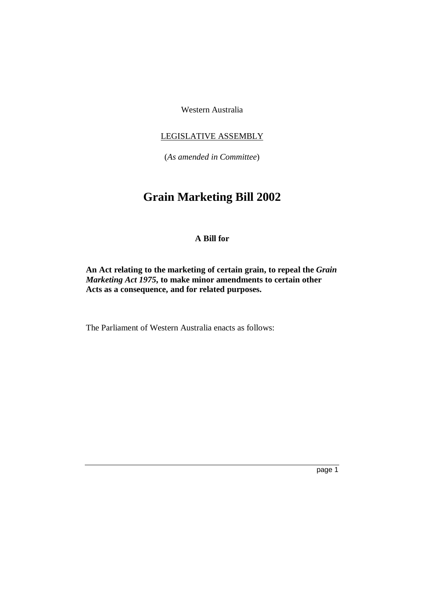Western Australia

## LEGISLATIVE ASSEMBLY

(*As amended in Committee*)

# **Grain Marketing Bill 2002**

# **A Bill for**

**An Act relating to the marketing of certain grain, to repeal the** *Grain Marketing Act 1975***, to make minor amendments to certain other Acts as a consequence, and for related purposes.**

The Parliament of Western Australia enacts as follows: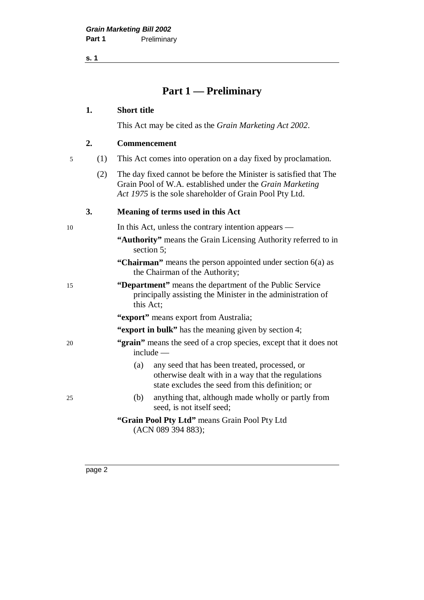**s. 1**

# **Part 1 — Preliminary**

#### **1. Short title**

This Act may be cited as the *Grain Marketing Act 2002*.

#### **2. Commencement**

|  |  | This Act comes into operation on a day fixed by proclamation. |  |  |  |  |
|--|--|---------------------------------------------------------------|--|--|--|--|
|--|--|---------------------------------------------------------------|--|--|--|--|

(2) The day fixed cannot be before the Minister is satisfied that The Grain Pool of W.A. established under the *Grain Marketing Act 1975* is the sole shareholder of Grain Pool Pty Ltd.

#### **3. Meaning of terms used in this Act**

10 In this Act, unless the contrary intention appears —

- **"Authority"** means the Grain Licensing Authority referred to in section 5;
- **"Chairman"** means the person appointed under section 6(a) as the Chairman of the Authority;
- 15 **"Department"** means the department of the Public Service principally assisting the Minister in the administration of this Act;
	- **"export"** means export from Australia;
	- **"export in bulk"** has the meaning given by section 4;
- 20 **"grain"** means the seed of a crop species, except that it does not include —
	- (a) any seed that has been treated, processed, or otherwise dealt with in a way that the regulations state excludes the seed from this definition; or
- 25 (b) anything that, although made wholly or partly from seed, is not itself seed;
	- **"Grain Pool Pty Ltd"** means Grain Pool Pty Ltd (ACN 089 394 883);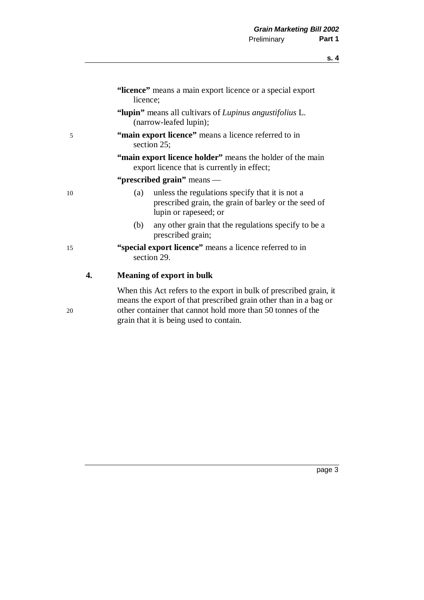|    | "licence" means a main export licence or a special export<br>licence;                                                                   |
|----|-----------------------------------------------------------------------------------------------------------------------------------------|
|    | "lupin" means all cultivars of Lupinus angustifolius L.<br>(narrow-leafed lupin);                                                       |
| 5  | "main export licence" means a licence referred to in<br>section 25;                                                                     |
|    | "main export licence holder" means the holder of the main<br>export licence that is currently in effect;                                |
|    | "prescribed grain" means —                                                                                                              |
| 10 | unless the regulations specify that it is not a<br>(a)<br>prescribed grain, the grain of barley or the seed of<br>lupin or rapeseed; or |
|    | (b)<br>any other grain that the regulations specify to be a<br>prescribed grain;                                                        |
| 15 | "special export licence" means a licence referred to in<br>section 29.                                                                  |
| 4. | <b>Meaning of export in bulk</b>                                                                                                        |
|    | When this Act refers to the export in bulk of prescribed grain, it<br>means the export of that prescribed grain other than in a bag or  |

20 other container that cannot hold more than 50 tonnes of the grain that it is being used to contain.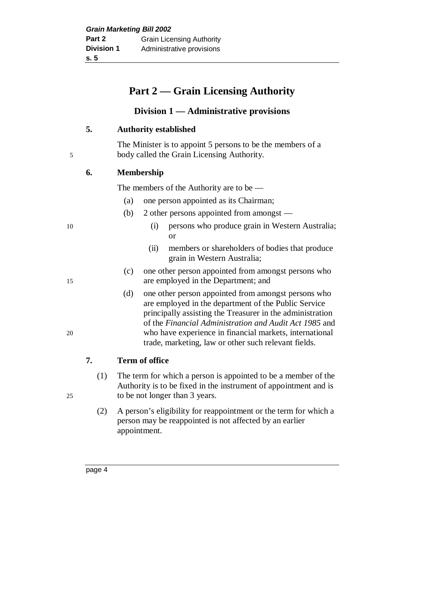# **Part 2 — Grain Licensing Authority**

# **Division 1 — Administrative provisions**

# **5. Authority established**

The Minister is to appoint 5 persons to be the members of a 5 body called the Grain Licensing Authority.

# **6. Membership**

The members of the Authority are to be —

- (a) one person appointed as its Chairman;
- (b) 2 other persons appointed from amongst —
- 10 (i) persons who produce grain in Western Australia; or
	- (ii) members or shareholders of bodies that produce grain in Western Australia;
- (c) one other person appointed from amongst persons who 15 are employed in the Department; and
- (d) one other person appointed from amongst persons who are employed in the department of the Public Service principally assisting the Treasurer in the administration of the *Financial Administration and Audit Act 1985* and 20 who have experience in financial markets, international trade, marketing, law or other such relevant fields.

# **7. Term of office**

- (1) The term for which a person is appointed to be a member of the Authority is to be fixed in the instrument of appointment and is 25 to be not longer than 3 years.
	- (2) A person's eligibility for reappointment or the term for which a person may be reappointed is not affected by an earlier appointment.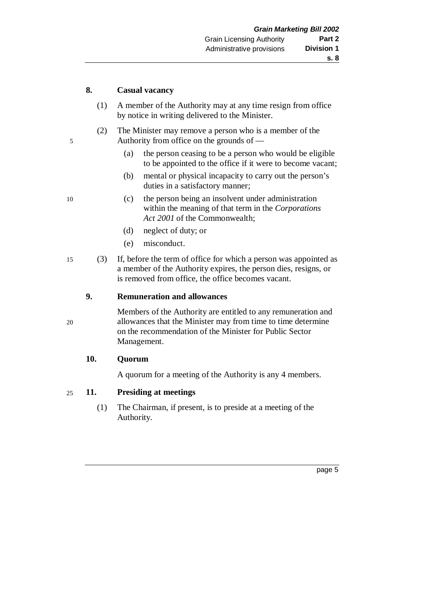#### **8. Casual vacancy**

- (1) A member of the Authority may at any time resign from office by notice in writing delivered to the Minister.
- (2) The Minister may remove a person who is a member of the 5 Authority from office on the grounds of —
	- (a) the person ceasing to be a person who would be eligible to be appointed to the office if it were to become vacant;
	- (b) mental or physical incapacity to carry out the person's duties in a satisfactory manner;
- 10 (c) the person being an insolvent under administration within the meaning of that term in the *Corporations Act 2001* of the Commonwealth;
	- (d) neglect of duty; or
	- (e) misconduct.
- 15 (3) If, before the term of office for which a person was appointed as a member of the Authority expires, the person dies, resigns, or is removed from office, the office becomes vacant.

## **9. Remuneration and allowances**

Members of the Authority are entitled to any remuneration and 20 allowances that the Minister may from time to time determine on the recommendation of the Minister for Public Sector Management.

# **10. Quorum**

A quorum for a meeting of the Authority is any 4 members.

# 25 **11. Presiding at meetings**

(1) The Chairman, if present, is to preside at a meeting of the Authority.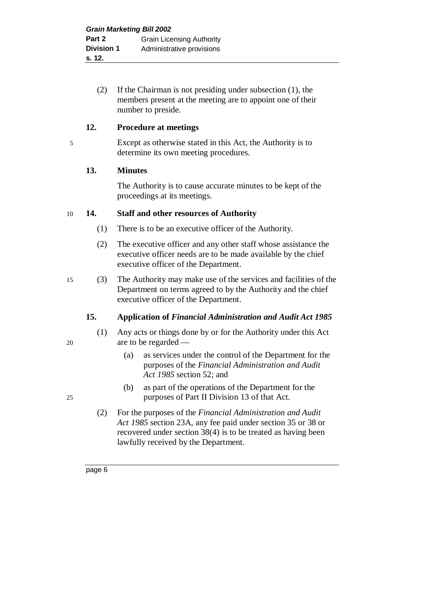(2) If the Chairman is not presiding under subsection (1), the members present at the meeting are to appoint one of their number to preside.

## **12. Procedure at meetings**

## 5 Except as otherwise stated in this Act, the Authority is to determine its own meeting procedures.

# **13. Minutes**

The Authority is to cause accurate minutes to be kept of the proceedings at its meetings.

#### 10 **14. Staff and other resources of Authority**

- (1) There is to be an executive officer of the Authority.
- (2) The executive officer and any other staff whose assistance the executive officer needs are to be made available by the chief executive officer of the Department.
- 15 (3) The Authority may make use of the services and facilities of the Department on terms agreed to by the Authority and the chief executive officer of the Department.

# **15. Application of** *Financial Administration and Audit Act 1985*

- (1) Any acts or things done by or for the Authority under this Act 20 are to be regarded —
	- (a) as services under the control of the Department for the purposes of the *Financial Administration and Audit Act 1985* section 52; and
- (b) as part of the operations of the Department for the 25 purposes of Part II Division 13 of that Act.
	- (2) For the purposes of the *Financial Administration and Audit Act 1985* section 23A, any fee paid under section 35 or 38 or recovered under section 38(4) is to be treated as having been lawfully received by the Department.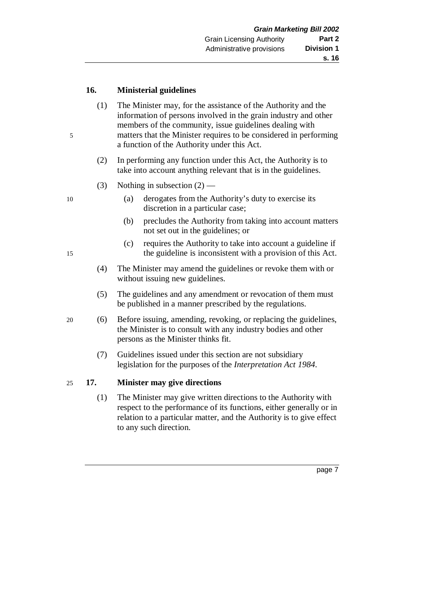#### **16. Ministerial guidelines**

- (1) The Minister may, for the assistance of the Authority and the information of persons involved in the grain industry and other members of the community, issue guidelines dealing with 5 matters that the Minister requires to be considered in performing a function of the Authority under this Act.
	- (2) In performing any function under this Act, the Authority is to take into account anything relevant that is in the guidelines.
	- (3) Nothing in subsection  $(2)$  —
- 10 (a) derogates from the Authority's duty to exercise its discretion in a particular case;
	- (b) precludes the Authority from taking into account matters not set out in the guidelines; or
- (c) requires the Authority to take into account a guideline if 15 the guideline is inconsistent with a provision of this Act.
	- (4) The Minister may amend the guidelines or revoke them with or without issuing new guidelines.
	- (5) The guidelines and any amendment or revocation of them must be published in a manner prescribed by the regulations.
- 20 (6) Before issuing, amending, revoking, or replacing the guidelines, the Minister is to consult with any industry bodies and other persons as the Minister thinks fit.
	- (7) Guidelines issued under this section are not subsidiary legislation for the purposes of the *Interpretation Act 1984*.

#### 25 **17. Minister may give directions**

(1) The Minister may give written directions to the Authority with respect to the performance of its functions, either generally or in relation to a particular matter, and the Authority is to give effect to any such direction.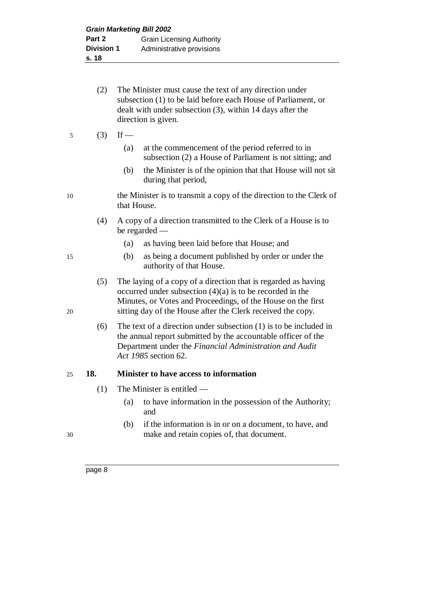- (2) The Minister must cause the text of any direction under subsection (1) to be laid before each House of Parliament, or dealt with under subsection (3), within 14 days after the direction is given.
- 5  $(3)$  If
	- (a) at the commencement of the period referred to in subsection (2) a House of Parliament is not sitting; and
	- (b) the Minister is of the opinion that that House will not sit during that period,
- 10 the Minister is to transmit a copy of the direction to the Clerk of that House.
	- (4) A copy of a direction transmitted to the Clerk of a House is to be regarded —
		- (a) as having been laid before that House; and
- 15 (b) as being a document published by order or under the authority of that House.
- (5) The laying of a copy of a direction that is regarded as having occurred under subsection  $(4)(a)$  is to be recorded in the Minutes, or Votes and Proceedings, of the House on the first 20 sitting day of the House after the Clerk received the copy.
	- (6) The text of a direction under subsection (1) is to be included in the annual report submitted by the accountable officer of the Department under the *Financial Administration and Audit Act 1985* section 62.

# 25 **18. Minister to have access to information**

- (1) The Minister is entitled
	- (a) to have information in the possession of the Authority; and
- (b) if the information is in or on a document, to have, and 30 make and retain copies of, that document.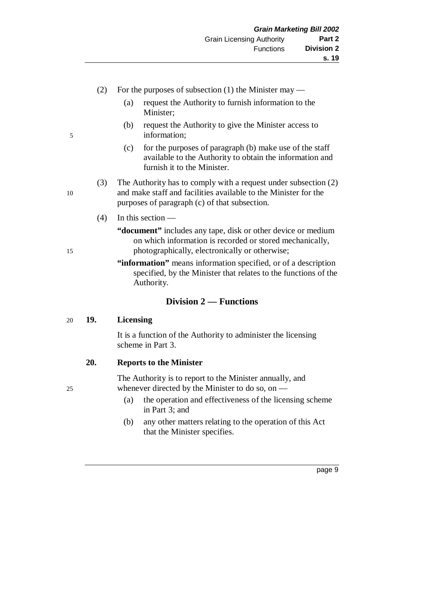- (2) For the purposes of subsection (1) the Minister may
	- (a) request the Authority to furnish information to the Minister;
- (b) request the Authority to give the Minister access to 5 information;
	- (c) for the purposes of paragraph (b) make use of the staff available to the Authority to obtain the information and furnish it to the Minister.
- (3) The Authority has to comply with a request under subsection (2) 10 and make staff and facilities available to the Minister for the purposes of paragraph (c) of that subsection.
	- (4) In this section —
- **"document"** includes any tape, disk or other device or medium on which information is recorded or stored mechanically, 15 photographically, electronically or otherwise;
	- **"information"** means information specified, or of a description specified, by the Minister that relates to the functions of the Authority.

# **Division 2 — Functions**

#### 20 **19. Licensing**

It is a function of the Authority to administer the licensing scheme in Part 3.

#### **20. Reports to the Minister**

The Authority is to report to the Minister annually, and 25 whenever directed by the Minister to do so, on —

- (a) the operation and effectiveness of the licensing scheme in Part 3; and
- (b) any other matters relating to the operation of this Act that the Minister specifies.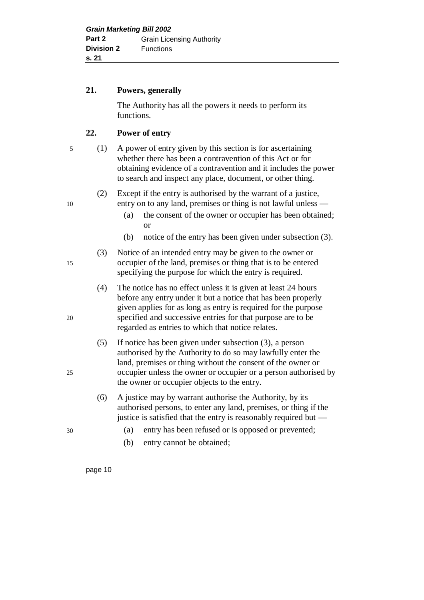#### **21. Powers, generally**

The Authority has all the powers it needs to perform its functions.

# **22. Power of entry**

- 
- 5 (1) A power of entry given by this section is for ascertaining whether there has been a contravention of this Act or for obtaining evidence of a contravention and it includes the power to search and inspect any place, document, or other thing.

(2) Except if the entry is authorised by the warrant of a justice, 10 entry on to any land, premises or thing is not lawful unless —

- (a) the consent of the owner or occupier has been obtained; or
- (b) notice of the entry has been given under subsection (3).

(3) Notice of an intended entry may be given to the owner or 15 occupier of the land, premises or thing that is to be entered specifying the purpose for which the entry is required.

- (4) The notice has no effect unless it is given at least 24 hours before any entry under it but a notice that has been properly given applies for as long as entry is required for the purpose 20 specified and successive entries for that purpose are to be regarded as entries to which that notice relates.
- (5) If notice has been given under subsection (3), a person authorised by the Authority to do so may lawfully enter the land, premises or thing without the consent of the owner or 25 occupier unless the owner or occupier or a person authorised by the owner or occupier objects to the entry.
	- (6) A justice may by warrant authorise the Authority, by its authorised persons, to enter any land, premises, or thing if the justice is satisfied that the entry is reasonably required but —
- 30 (a) entry has been refused or is opposed or prevented;
	- (b) entry cannot be obtained;

- 
-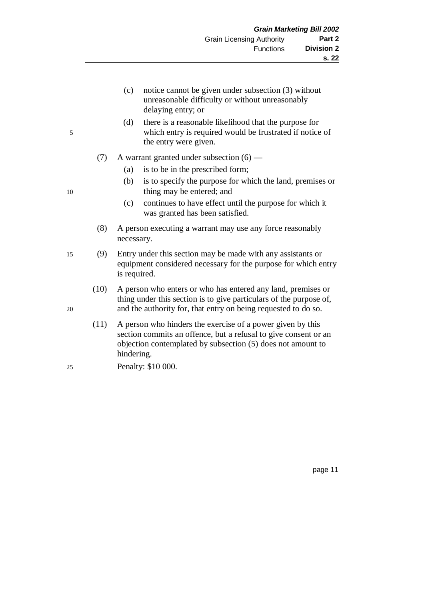- (c) notice cannot be given under subsection (3) without unreasonable difficulty or without unreasonably delaying entry; or
- (d) there is a reasonable likelihood that the purpose for 5 which entry is required would be frustrated if notice of the entry were given.
	- (7) A warrant granted under subsection  $(6)$ 
		- (a) is to be in the prescribed form;
- (b) is to specify the purpose for which the land, premises or 10 thing may be entered; and
	- (c) continues to have effect until the purpose for which it was granted has been satisfied.
	- (8) A person executing a warrant may use any force reasonably necessary.
- 15 (9) Entry under this section may be made with any assistants or equipment considered necessary for the purpose for which entry is required.
- (10) A person who enters or who has entered any land, premises or thing under this section is to give particulars of the purpose of, 20 and the authority for, that entry on being requested to do so.
	- (11) A person who hinders the exercise of a power given by this section commits an offence, but a refusal to give consent or an objection contemplated by subsection (5) does not amount to hindering.
- 25 Penalty: \$10 000.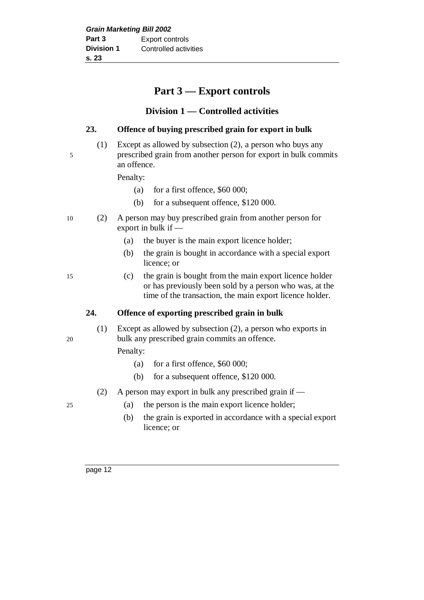# **Part 3 — Export controls**

# **Division 1 — Controlled activities**

# **23. Offence of buying prescribed grain for export in bulk**

(1) Except as allowed by subsection (2), a person who buys any 5 prescribed grain from another person for export in bulk commits an offence.

Penalty:

- (a) for a first offence, \$60 000;
- (b) for a subsequent offence, \$120 000.
- 10 (2) A person may buy prescribed grain from another person for export in bulk if —
	- (a) the buyer is the main export licence holder;
	- (b) the grain is bought in accordance with a special export licence; or
- 15 (c) the grain is bought from the main export licence holder or has previously been sold by a person who was, at the time of the transaction, the main export licence holder.

# **24. Offence of exporting prescribed grain in bulk**

(1) Except as allowed by subsection (2), a person who exports in 20 bulk any prescribed grain commits an offence.

Penalty:

- (a) for a first offence,  $$60,000$ ;
- (b) for a subsequent offence, \$120 000.
- (2) A person may export in bulk any prescribed grain if —
- 25 (a) the person is the main export licence holder;
	- (b) the grain is exported in accordance with a special export licence; or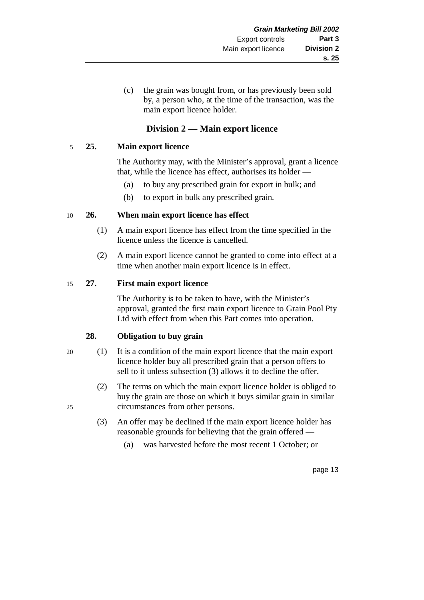(c) the grain was bought from, or has previously been sold by, a person who, at the time of the transaction, was the main export licence holder.

# **Division 2 — Main export licence**

## 5 **25. Main export licence**

The Authority may, with the Minister's approval, grant a licence that, while the licence has effect, authorises its holder —

- (a) to buy any prescribed grain for export in bulk; and
- (b) to export in bulk any prescribed grain.

#### 10 **26. When main export licence has effect**

- (1) A main export licence has effect from the time specified in the licence unless the licence is cancelled.
- (2) A main export licence cannot be granted to come into effect at a time when another main export licence is in effect.

#### 15 **27. First main export licence**

The Authority is to be taken to have, with the Minister's approval, granted the first main export licence to Grain Pool Pty Ltd with effect from when this Part comes into operation.

# **28. Obligation to buy grain**

- 20 (1) It is a condition of the main export licence that the main export licence holder buy all prescribed grain that a person offers to sell to it unless subsection (3) allows it to decline the offer.
- (2) The terms on which the main export licence holder is obliged to buy the grain are those on which it buys similar grain in similar 25 circumstances from other persons.
	- (3) An offer may be declined if the main export licence holder has reasonable grounds for believing that the grain offered —
		- (a) was harvested before the most recent 1 October; or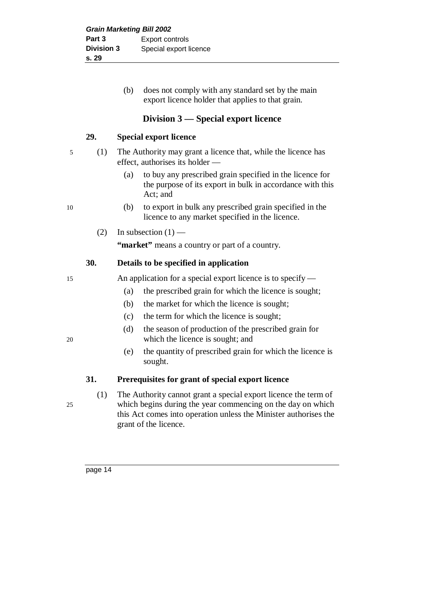(b) does not comply with any standard set by the main export licence holder that applies to that grain.

# **Division 3 — Special export licence**

## **29. Special export licence**

- 5 (1) The Authority may grant a licence that, while the licence has effect, authorises its holder —
	- (a) to buy any prescribed grain specified in the licence for the purpose of its export in bulk in accordance with this Act; and
- 10 (b) to export in bulk any prescribed grain specified in the licence to any market specified in the licence.
	- (2) In subsection  $(1)$  —

**"market"** means a country or part of a country.

# **30. Details to be specified in application**

15 An application for a special export licence is to specify —

- (a) the prescribed grain for which the licence is sought;
- (b) the market for which the licence is sought;
- (c) the term for which the licence is sought;
- (d) the season of production of the prescribed grain for 20 which the licence is sought; and
	- (e) the quantity of prescribed grain for which the licence is sought.

#### **31. Prerequisites for grant of special export licence**

(1) The Authority cannot grant a special export licence the term of 25 which begins during the year commencing on the day on which this Act comes into operation unless the Minister authorises the grant of the licence.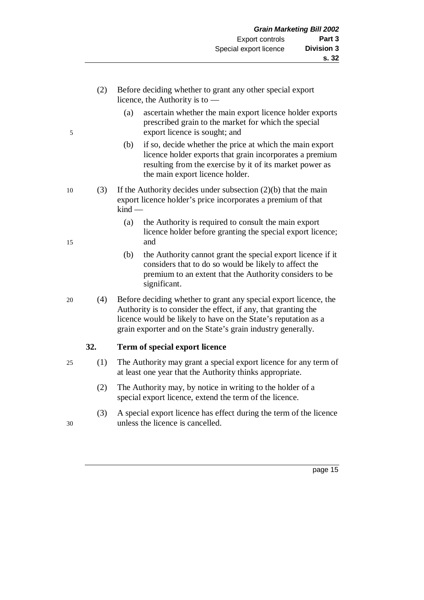- (2) Before deciding whether to grant any other special export licence, the Authority is to —
- (a) ascertain whether the main export licence holder exports prescribed grain to the market for which the special 5 export licence is sought; and
	- (b) if so, decide whether the price at which the main export licence holder exports that grain incorporates a premium resulting from the exercise by it of its market power as the main export licence holder.
- 10 (3) If the Authority decides under subsection (2)(b) that the main export licence holder's price incorporates a premium of that kind —
- (a) the Authority is required to consult the main export licence holder before granting the special export licence; 15 and
	- (b) the Authority cannot grant the special export licence if it considers that to do so would be likely to affect the premium to an extent that the Authority considers to be significant.
- 20 (4) Before deciding whether to grant any special export licence, the Authority is to consider the effect, if any, that granting the licence would be likely to have on the State's reputation as a grain exporter and on the State's grain industry generally.

# **32. Term of special export licence**

- 25 (1) The Authority may grant a special export licence for any term of at least one year that the Authority thinks appropriate.
	- (2) The Authority may, by notice in writing to the holder of a special export licence, extend the term of the licence.
- (3) A special export licence has effect during the term of the licence 30 unless the licence is cancelled.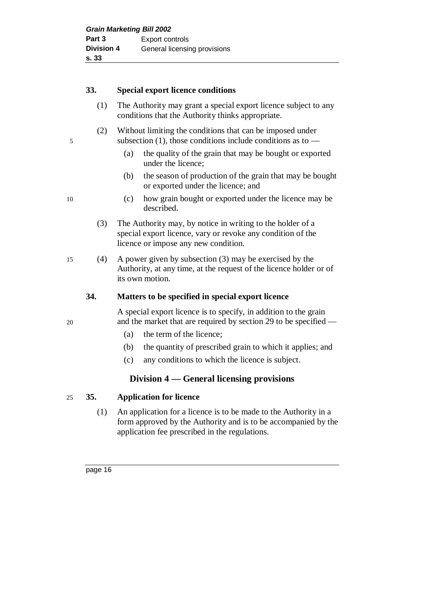# **33. Special export licence conditions**

- (1) The Authority may grant a special export licence subject to any conditions that the Authority thinks appropriate.
- (2) Without limiting the conditions that can be imposed under 5 subsection (1), those conditions include conditions as to —
	- (a) the quality of the grain that may be bought or exported under the licence;
	- (b) the season of production of the grain that may be bought or exported under the licence; and
- 10 (c) how grain bought or exported under the licence may be described.
	- (3) The Authority may, by notice in writing to the holder of a special export licence, vary or revoke any condition of the licence or impose any new condition.
- 15 (4) A power given by subsection (3) may be exercised by the Authority, at any time, at the request of the licence holder or of its own motion.

# **34. Matters to be specified in special export licence**

A special export licence is to specify, in addition to the grain 20 and the market that are required by section 29 to be specified —

- (a) the term of the licence;
- (b) the quantity of prescribed grain to which it applies; and
- (c) any conditions to which the licence is subject.

# **Division 4 — General licensing provisions**

# 25 **35. Application for licence**

(1) An application for a licence is to be made to the Authority in a form approved by the Authority and is to be accompanied by the application fee prescribed in the regulations.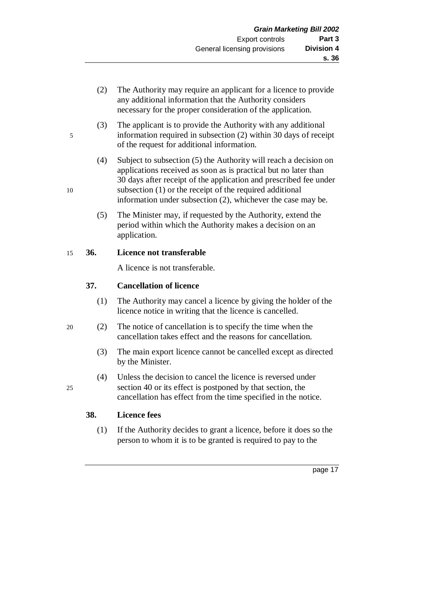- (2) The Authority may require an applicant for a licence to provide any additional information that the Authority considers necessary for the proper consideration of the application.
- (3) The applicant is to provide the Authority with any additional 5 information required in subsection (2) within 30 days of receipt of the request for additional information.
- (4) Subject to subsection (5) the Authority will reach a decision on applications received as soon as is practical but no later than 30 days after receipt of the application and prescribed fee under 10 subsection (1) or the receipt of the required additional information under subsection (2), whichever the case may be.
	- (5) The Minister may, if requested by the Authority, extend the period within which the Authority makes a decision on an application.

#### 15 **36. Licence not transferable**

A licence is not transferable.

# **37. Cancellation of licence**

- (1) The Authority may cancel a licence by giving the holder of the licence notice in writing that the licence is cancelled.
- 20 (2) The notice of cancellation is to specify the time when the cancellation takes effect and the reasons for cancellation.
	- (3) The main export licence cannot be cancelled except as directed by the Minister.
- (4) Unless the decision to cancel the licence is reversed under 25 section 40 or its effect is postponed by that section, the cancellation has effect from the time specified in the notice.

# **38. Licence fees**

- (1) If the Authority decides to grant a licence, before it does so the person to whom it is to be granted is required to pay to the
	- page 17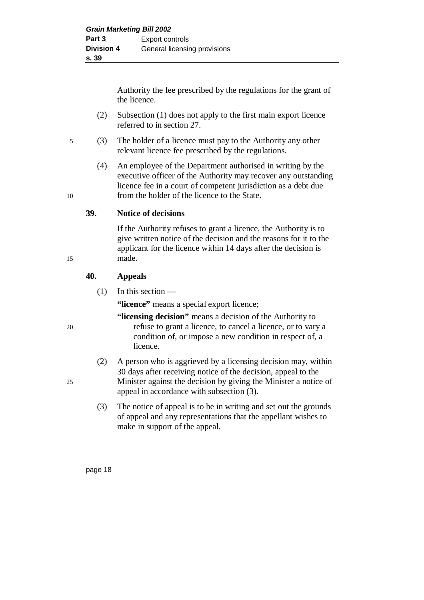Authority the fee prescribed by the regulations for the grant of the licence.

- (2) Subsection (1) does not apply to the first main export licence referred to in section 27.
- 5 (3) The holder of a licence must pay to the Authority any other relevant licence fee prescribed by the regulations.
- (4) An employee of the Department authorised in writing by the executive officer of the Authority may recover any outstanding licence fee in a court of competent jurisdiction as a debt due 10 from the holder of the licence to the State.

#### **39. Notice of decisions**

If the Authority refuses to grant a licence, the Authority is to give written notice of the decision and the reasons for it to the applicant for the licence within 14 days after the decision is 15 made.

#### **40. Appeals**

(1) In this section —

**"licence"** means a special export licence;

**"licensing decision"** means a decision of the Authority to 20 refuse to grant a licence, to cancel a licence, or to vary a condition of, or impose a new condition in respect of, a licence.

- (2) A person who is aggrieved by a licensing decision may, within 30 days after receiving notice of the decision, appeal to the 25 Minister against the decision by giving the Minister a notice of appeal in accordance with subsection (3).
	- (3) The notice of appeal is to be in writing and set out the grounds of appeal and any representations that the appellant wishes to make in support of the appeal.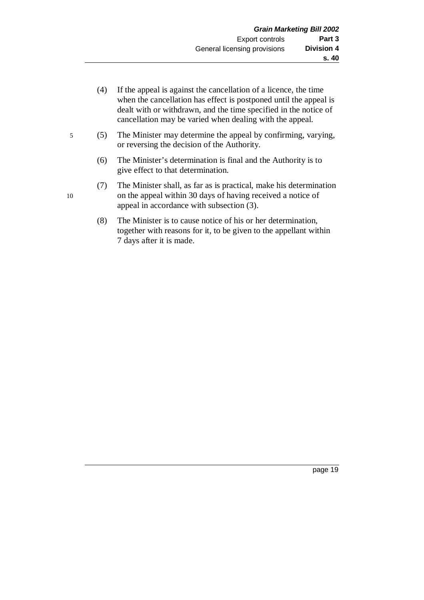- (4) If the appeal is against the cancellation of a licence, the time when the cancellation has effect is postponed until the appeal is dealt with or withdrawn, and the time specified in the notice of cancellation may be varied when dealing with the appeal.
- 5 (5) The Minister may determine the appeal by confirming, varying, or reversing the decision of the Authority.
	- (6) The Minister's determination is final and the Authority is to give effect to that determination.
- (7) The Minister shall, as far as is practical, make his determination 10 on the appeal within 30 days of having received a notice of appeal in accordance with subsection (3).
	- (8) The Minister is to cause notice of his or her determination, together with reasons for it, to be given to the appellant within 7 days after it is made.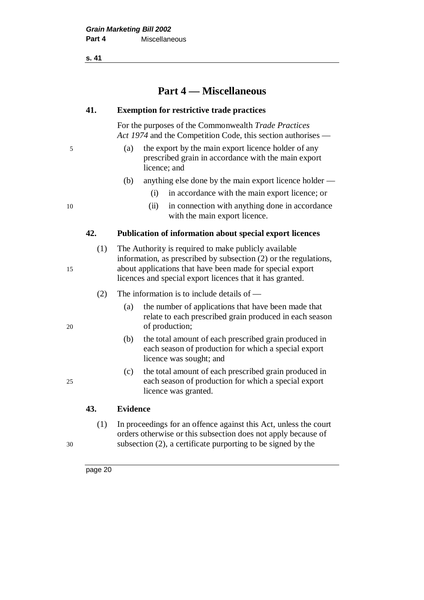**s. 41**

# **Part 4 — Miscellaneous**

#### **41. Exemption for restrictive trade practices**

For the purposes of the Commonwealth *Trade Practices Act 1974* and the Competition Code, this section authorises —

- 5 (a) the export by the main export licence holder of any prescribed grain in accordance with the main export licence; and
	- (b) anything else done by the main export licence holder
		- (i) in accordance with the main export licence; or
- 10 (ii) in connection with anything done in accordance with the main export licence.

#### **42. Publication of information about special export licences**

(1) The Authority is required to make publicly available information, as prescribed by subsection (2) or the regulations, 15 about applications that have been made for special export licences and special export licences that it has granted.

- (2) The information is to include details of —
- (a) the number of applications that have been made that relate to each prescribed grain produced in each season 20 of production;
	- (b) the total amount of each prescribed grain produced in each season of production for which a special export licence was sought; and
- (c) the total amount of each prescribed grain produced in 25 each season of production for which a special export licence was granted.

# **43. Evidence**

(1) In proceedings for an offence against this Act, unless the court orders otherwise or this subsection does not apply because of 30 subsection (2), a certificate purporting to be signed by the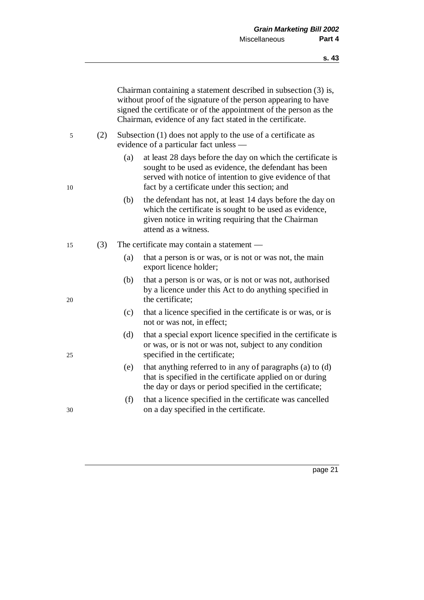|    |     | Chairman containing a statement described in subsection (3) is,<br>without proof of the signature of the person appearing to have<br>signed the certificate or of the appointment of the person as the<br>Chairman, evidence of any fact stated in the certificate. |  |
|----|-----|---------------------------------------------------------------------------------------------------------------------------------------------------------------------------------------------------------------------------------------------------------------------|--|
| 5  | (2) | Subsection (1) does not apply to the use of a certificate as<br>evidence of a particular fact unless —                                                                                                                                                              |  |
| 10 |     | at least 28 days before the day on which the certificate is<br>(a)<br>sought to be used as evidence, the defendant has been<br>served with notice of intention to give evidence of that<br>fact by a certificate under this section; and                            |  |
|    |     | (b)<br>the defendant has not, at least 14 days before the day on<br>which the certificate is sought to be used as evidence,<br>given notice in writing requiring that the Chairman<br>attend as a witness.                                                          |  |
| 15 | (3) | The certificate may contain a statement —                                                                                                                                                                                                                           |  |
|    |     | (a)<br>that a person is or was, or is not or was not, the main<br>export licence holder;                                                                                                                                                                            |  |
| 20 |     | (b)<br>that a person is or was, or is not or was not, authorised<br>by a licence under this Act to do anything specified in<br>the certificate;                                                                                                                     |  |
|    |     | (c)<br>that a licence specified in the certificate is or was, or is<br>not or was not, in effect;                                                                                                                                                                   |  |
| 25 |     | (d)<br>that a special export licence specified in the certificate is<br>or was, or is not or was not, subject to any condition<br>specified in the certificate;                                                                                                     |  |
|    |     | that anything referred to in any of paragraphs (a) to (d)<br>(e)<br>that is specified in the certificate applied on or during<br>the day or days or period specified in the certificate;                                                                            |  |
| 30 |     | (f)<br>that a licence specified in the certificate was cancelled<br>on a day specified in the certificate.                                                                                                                                                          |  |
|    |     |                                                                                                                                                                                                                                                                     |  |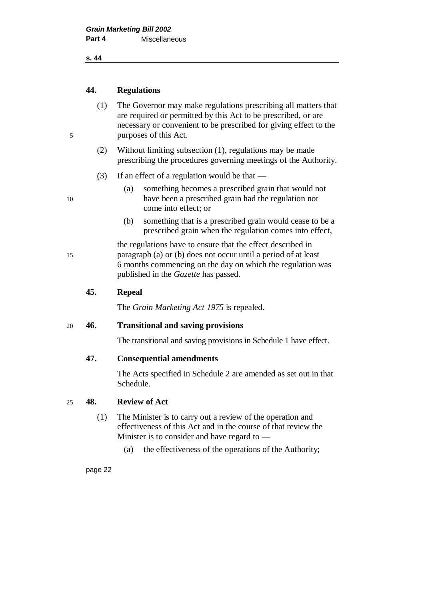**s. 44**

## **44. Regulations**

- (1) The Governor may make regulations prescribing all matters that are required or permitted by this Act to be prescribed, or are necessary or convenient to be prescribed for giving effect to the 5 purposes of this Act.
	- (2) Without limiting subsection (1), regulations may be made prescribing the procedures governing meetings of the Authority.
	- (3) If an effect of a regulation would be that  $-$
- (a) something becomes a prescribed grain that would not 10 have been a prescribed grain had the regulation not come into effect; or
	- (b) something that is a prescribed grain would cease to be a prescribed grain when the regulation comes into effect,

the regulations have to ensure that the effect described in 15 paragraph (a) or (b) does not occur until a period of at least 6 months commencing on the day on which the regulation was published in the *Gazette* has passed.

#### **45. Repeal**

The *Grain Marketing Act 1975* is repealed.

#### 20 **46. Transitional and saving provisions**

The transitional and saving provisions in Schedule 1 have effect.

#### **47. Consequential amendments**

The Acts specified in Schedule 2 are amended as set out in that Schedule.

#### 25 **48. Review of Act**

- (1) The Minister is to carry out a review of the operation and effectiveness of this Act and in the course of that review the Minister is to consider and have regard to —
	- (a) the effectiveness of the operations of the Authority;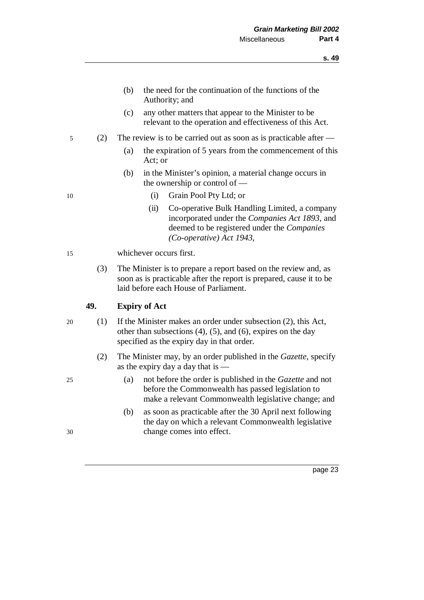- (b) the need for the continuation of the functions of the Authority; and
- (c) any other matters that appear to the Minister to be relevant to the operation and effectiveness of this Act.
- 5 (2) The review is to be carried out as soon as is practicable after
	- (a) the expiration of 5 years from the commencement of this Act; or
	- (b) in the Minister's opinion, a material change occurs in the ownership or control of —
- 10 (i) Grain Pool Pty Ltd; or
	- (ii) Co-operative Bulk Handling Limited, a company incorporated under the *Companies Act 1893*, and deemed to be registered under the *Companies (Co-operative) Act 1943*,
- 15 whichever occurs first.
	- (3) The Minister is to prepare a report based on the review and, as soon as is practicable after the report is prepared, cause it to be laid before each House of Parliament.

#### **49. Expiry of Act**

- 20 (1) If the Minister makes an order under subsection (2), this Act, other than subsections  $(4)$ ,  $(5)$ , and  $(6)$ , expires on the day specified as the expiry day in that order.
	- (2) The Minister may, by an order published in the *Gazette*, specify as the expiry day a day that is —
- 25 (a) not before the order is published in the *Gazette* and not before the Commonwealth has passed legislation to make a relevant Commonwealth legislative change; and
- (b) as soon as practicable after the 30 April next following the day on which a relevant Commonwealth legislative 30 change comes into effect.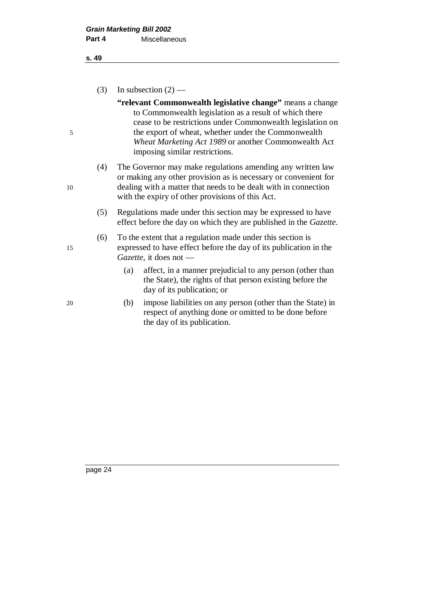#### **s. 49**

(3) In subsection  $(2)$  —

**"relevant Commonwealth legislative change"** means a change to Commonwealth legislation as a result of which there cease to be restrictions under Commonwealth legislation on 5 the export of wheat, whether under the Commonwealth *Wheat Marketing Act 1989* or another Commonwealth Act imposing similar restrictions.

- (4) The Governor may make regulations amending any written law or making any other provision as is necessary or convenient for 10 dealing with a matter that needs to be dealt with in connection with the expiry of other provisions of this Act.
	- (5) Regulations made under this section may be expressed to have effect before the day on which they are published in the *Gazette*.

(6) To the extent that a regulation made under this section is 15 expressed to have effect before the day of its publication in the *Gazette*, it does not —

- (a) affect, in a manner prejudicial to any person (other than the State), the rights of that person existing before the day of its publication; or
- 20 (b) impose liabilities on any person (other than the State) in respect of anything done or omitted to be done before the day of its publication.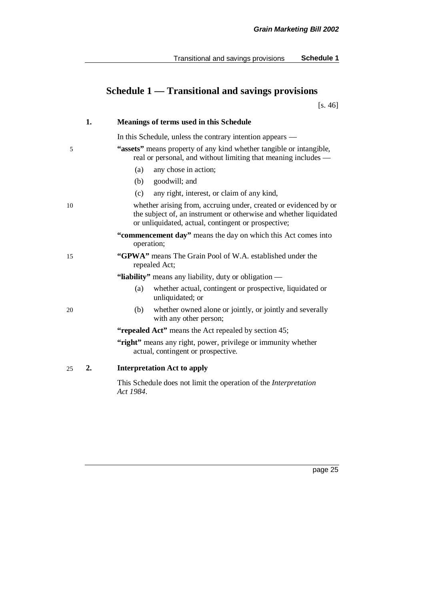|    | 1.               | <b>Meanings of terms used in this Schedule</b>                                                                                                                                               |
|----|------------------|----------------------------------------------------------------------------------------------------------------------------------------------------------------------------------------------|
|    |                  | In this Schedule, unless the contrary intention appears —                                                                                                                                    |
| 5  |                  | "assets" means property of any kind whether tangible or intangible,<br>real or personal, and without limiting that meaning includes -                                                        |
|    |                  | any chose in action;<br>(a)                                                                                                                                                                  |
|    |                  | goodwill; and<br>(b)                                                                                                                                                                         |
|    |                  | any right, interest, or claim of any kind,<br>(c)                                                                                                                                            |
| 10 |                  | whether arising from, accruing under, created or evidenced by or<br>the subject of, an instrument or otherwise and whether liquidated<br>or unliquidated, actual, contingent or prospective; |
|    |                  | "commencement day" means the day on which this Act comes into<br>operation;                                                                                                                  |
| 15 |                  | "GPWA" means The Grain Pool of W.A. established under the<br>repealed Act;                                                                                                                   |
|    |                  | "liability" means any liability, duty or obligation —                                                                                                                                        |
|    |                  | whether actual, contingent or prospective, liquidated or<br>(a)<br>unliquidated; or                                                                                                          |
| 20 |                  | whether owned alone or jointly, or jointly and severally<br>(b)<br>with any other person;                                                                                                    |
|    |                  | "repealed Act" means the Act repealed by section 45;                                                                                                                                         |
|    |                  | "right" means any right, power, privilege or immunity whether<br>actual, contingent or prospective.                                                                                          |
| 25 | $\overline{2}$ . | <b>Interpretation Act to apply</b>                                                                                                                                                           |
|    |                  | This Schedule does not limit the operation of the Interpretation<br>Act 1984.                                                                                                                |

# **Schedule 1 — Transitional and savings provisions**

[s. 46]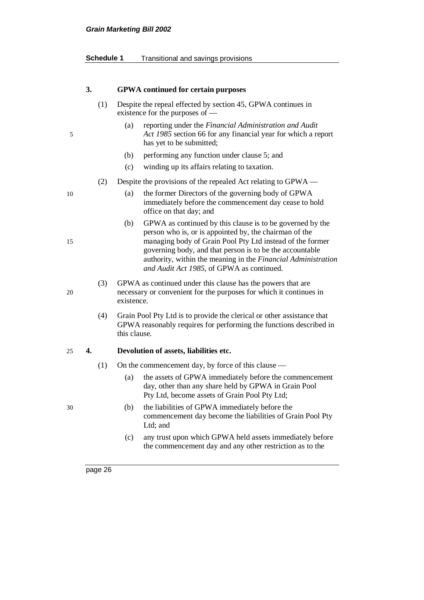# **Grain Marketing Bill 2002**

| Schedule 1 | Transitional and savings provisions |  |  |
|------------|-------------------------------------|--|--|
|------------|-------------------------------------|--|--|

|    | 3.  | <b>GPWA</b> continued for certain purposes                                                                                                                                                                                                                                                                                                                        |
|----|-----|-------------------------------------------------------------------------------------------------------------------------------------------------------------------------------------------------------------------------------------------------------------------------------------------------------------------------------------------------------------------|
|    | (1) | Despite the repeal effected by section 45, GPWA continues in<br>existence for the purposes of —                                                                                                                                                                                                                                                                   |
| 5  |     | reporting under the Financial Administration and Audit<br>(a)<br>Act 1985 section 66 for any financial year for which a report<br>has yet to be submitted;                                                                                                                                                                                                        |
|    |     | performing any function under clause 5; and<br>(b)                                                                                                                                                                                                                                                                                                                |
|    |     | (c)<br>winding up its affairs relating to taxation.                                                                                                                                                                                                                                                                                                               |
|    | (2) | Despite the provisions of the repealed Act relating to GPWA -                                                                                                                                                                                                                                                                                                     |
| 10 |     | (a)<br>the former Directors of the governing body of GPWA<br>immediately before the commencement day cease to hold<br>office on that day; and                                                                                                                                                                                                                     |
| 15 |     | GPWA as continued by this clause is to be governed by the<br>(b)<br>person who is, or is appointed by, the chairman of the<br>managing body of Grain Pool Pty Ltd instead of the former<br>governing body, and that person is to be the accountable<br>authority, within the meaning in the Financial Administration<br>and Audit Act 1985, of GPWA as continued. |
| 20 | (3) | GPWA as continued under this clause has the powers that are<br>necessary or convenient for the purposes for which it continues in<br>existence.                                                                                                                                                                                                                   |
|    | (4) | Grain Pool Pty Ltd is to provide the clerical or other assistance that<br>GPWA reasonably requires for performing the functions described in<br>this clause.                                                                                                                                                                                                      |
| 25 | 4.  | Devolution of assets, liabilities etc.                                                                                                                                                                                                                                                                                                                            |
|    | (1) | On the commencement day, by force of this clause —                                                                                                                                                                                                                                                                                                                |
|    |     | the assets of GPWA immediately before the commencement<br>(a)<br>day, other than any share held by GPWA in Grain Pool<br>Pty Ltd, become assets of Grain Pool Pty Ltd;                                                                                                                                                                                            |
| 30 |     | (b)<br>the liabilities of GPWA immediately before the<br>commencement day become the liabilities of Grain Pool Pty<br>Ltd; and                                                                                                                                                                                                                                    |
|    |     | (c)<br>any trust upon which GPWA held assets immediately before<br>the commencement day and any other restriction as to the                                                                                                                                                                                                                                       |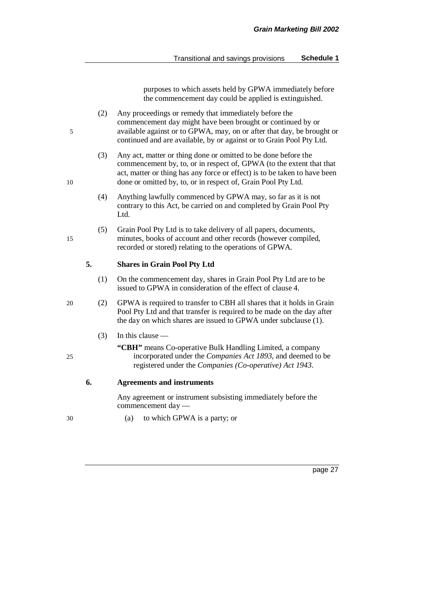purposes to which assets held by GPWA immediately before the commencement day could be applied is extinguished.

- (2) Any proceedings or remedy that immediately before the commencement day might have been brought or continued by or 5 available against or to GPWA, may, on or after that day, be brought or continued and are available, by or against or to Grain Pool Pty Ltd.
- (3) Any act, matter or thing done or omitted to be done before the commencement by, to, or in respect of, GPWA (to the extent that that act, matter or thing has any force or effect) is to be taken to have been 10 done or omitted by, to, or in respect of, Grain Pool Pty Ltd.
	- (4) Anything lawfully commenced by GPWA may, so far as it is not contrary to this Act, be carried on and completed by Grain Pool Pty Ltd.
- (5) Grain Pool Pty Ltd is to take delivery of all papers, documents, 15 minutes, books of account and other records (however compiled, recorded or stored) relating to the operations of GPWA.

#### **5. Shares in Grain Pool Pty Ltd**

- (1) On the commencement day, shares in Grain Pool Pty Ltd are to be issued to GPWA in consideration of the effect of clause 4.
- 20 (2) GPWA is required to transfer to CBH all shares that it holds in Grain Pool Pty Ltd and that transfer is required to be made on the day after the day on which shares are issued to GPWA under subclause (1).
	- (3) In this clause —
- **"CBH"** means Co-operative Bulk Handling Limited, a company 25 incorporated under the *Companies Act 1893*, and deemed to be registered under the *Companies (Co-operative) Act 1943*.

#### **6. Agreements and instruments**

Any agreement or instrument subsisting immediately before the commencement day —

30 (a) to which GPWA is a party; or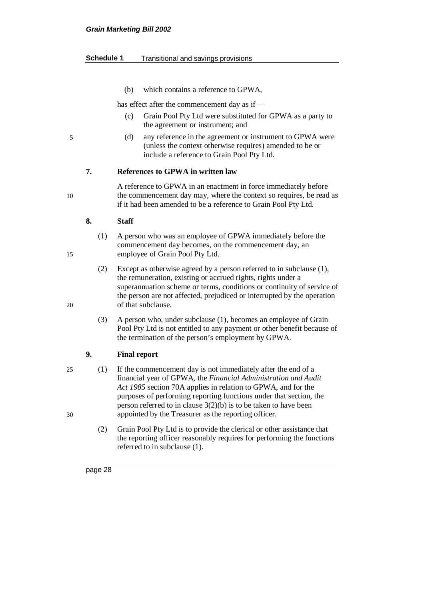#### **Schedule 1** Transitional and savings provisions

(b) which contains a reference to GPWA,

has effect after the commencement day as if —

- (c) Grain Pool Pty Ltd were substituted for GPWA as a party to the agreement or instrument; and
- 5 (d) any reference in the agreement or instrument to GPWA were (unless the context otherwise requires) amended to be or include a reference to Grain Pool Pty Ltd.

#### **7. References to GPWA in written law**

A reference to GPWA in an enactment in force immediately before 10 the commencement day may, where the context so requires, be read as if it had been amended to be a reference to Grain Pool Pty Ltd.

#### **8. Staff**

- (1) A person who was an employee of GPWA immediately before the commencement day becomes, on the commencement day, an 15 employee of Grain Pool Pty Ltd.
- (2) Except as otherwise agreed by a person referred to in subclause (1), the remuneration, existing or accrued rights, rights under a superannuation scheme or terms, conditions or continuity of service of the person are not affected, prejudiced or interrupted by the operation 20 of that subclause.
	- (3) A person who, under subclause (1), becomes an employee of Grain Pool Pty Ltd is not entitled to any payment or other benefit because of the termination of the person's employment by GPWA.

#### **9. Final report**

- 25 (1) If the commencement day is not immediately after the end of a financial year of GPWA, the *Financial Administration and Audit Act 1985* section 70A applies in relation to GPWA, and for the purposes of performing reporting functions under that section, the person referred to in clause 3(2)(b) is to be taken to have been 30 appointed by the Treasurer as the reporting officer.
	- (2) Grain Pool Pty Ltd is to provide the clerical or other assistance that the reporting officer reasonably requires for performing the functions referred to in subclause (1).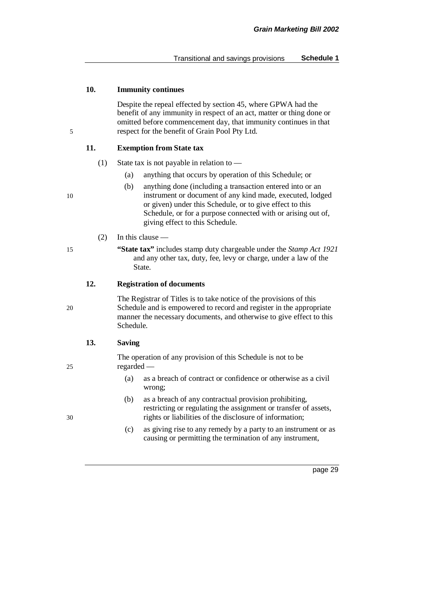#### **10. Immunity continues**

Despite the repeal effected by section 45, where GPWA had the benefit of any immunity in respect of an act, matter or thing done or omitted before commencement day, that immunity continues in that 5 respect for the benefit of Grain Pool Pty Ltd.

#### **11. Exemption from State tax**

- (1) State tax is not payable in relation to
	- (a) anything that occurs by operation of this Schedule; or
- (b) anything done (including a transaction entered into or an 10 instrument or document of any kind made, executed, lodged or given) under this Schedule, or to give effect to this Schedule, or for a purpose connected with or arising out of, giving effect to this Schedule.
	- (2) In this clause —
- 15 **"State tax"** includes stamp duty chargeable under the *Stamp Act 1921* and any other tax, duty, fee, levy or charge, under a law of the State.

#### **12. Registration of documents**

The Registrar of Titles is to take notice of the provisions of this 20 Schedule and is empowered to record and register in the appropriate manner the necessary documents, and otherwise to give effect to this Schedule.

#### **13. Saving**

The operation of any provision of this Schedule is not to be 25 regarded —

- (a) as a breach of contract or confidence or otherwise as a civil wrong;
- (b) as a breach of any contractual provision prohibiting, restricting or regulating the assignment or transfer of assets, 30 rights or liabilities of the disclosure of information;
	- (c) as giving rise to any remedy by a party to an instrument or as causing or permitting the termination of any instrument,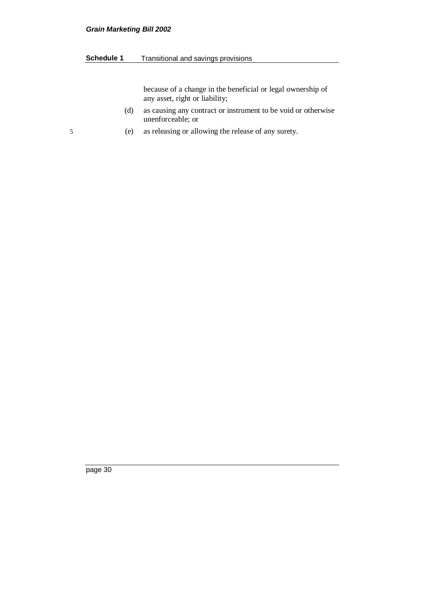#### **Grain Marketing Bill 2002**

#### **Schedule 1** Transitional and savings provisions

because of a change in the beneficial or legal ownership of any asset, right or liability;

- (d) as causing any contract or instrument to be void or otherwise unenforceable; or
- 5 (e) as releasing or allowing the release of any surety.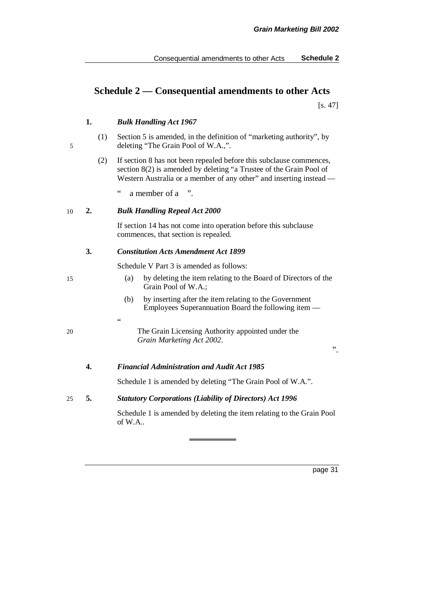# **Schedule 2 — Consequential amendments to other Acts**

[s. 47]

#### **1.** *Bulk Handling Act 1967*

- (1) Section 5 is amended, in the definition of "marketing authority", by 5 deleting "The Grain Pool of W.A.,".
	- (2) If section 8 has not been repealed before this subclause commences, section 8(2) is amended by deleting "a Trustee of the Grain Pool of Western Australia or a member of any other" and inserting instead —

" a member of a ".

#### 10 **2.** *Bulk Handling Repeal Act 2000*

"

If section 14 has not come into operation before this subclause commences, that section is repealed.

#### **3.** *Constitution Acts Amendment Act 1899*

Schedule V Part 3 is amended as follows:

- 15 (a) by deleting the item relating to the Board of Directors of the Grain Pool of W.A.;
	- (b) by inserting after the item relating to the Government Employees Superannuation Board the following item —
- 20 The Grain Licensing Authority appointed under the *Grain Marketing Act 2002*.

".

#### **4.** *Financial Administration and Audit Act 1985*

Schedule 1 is amended by deleting "The Grain Pool of W.A.".

#### 25 **5.** *Statutory Corporations (Liability of Directors) Act 1996*

Schedule 1 is amended by deleting the item relating to the Grain Pool of W.A..